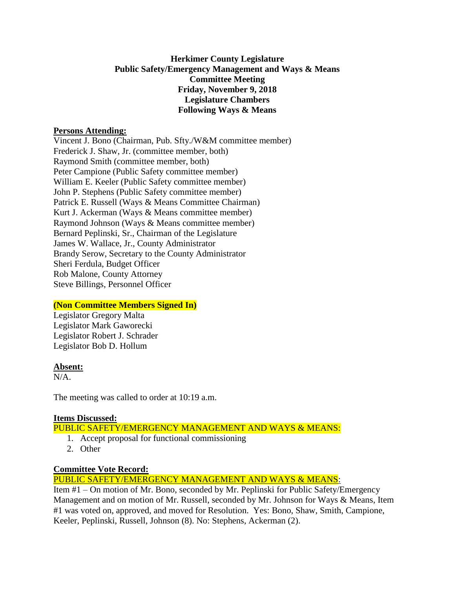# **Herkimer County Legislature Public Safety/Emergency Management and Ways & Means Committee Meeting Friday, November 9, 2018 Legislature Chambers Following Ways & Means**

### **Persons Attending:**

Vincent J. Bono (Chairman, Pub. Sfty./W&M committee member) Frederick J. Shaw, Jr. (committee member, both) Raymond Smith (committee member, both) Peter Campione (Public Safety committee member) William E. Keeler (Public Safety committee member) John P. Stephens (Public Safety committee member) Patrick E. Russell (Ways & Means Committee Chairman) Kurt J. Ackerman (Ways & Means committee member) Raymond Johnson (Ways & Means committee member) Bernard Peplinski, Sr., Chairman of the Legislature James W. Wallace, Jr., County Administrator Brandy Serow, Secretary to the County Administrator Sheri Ferdula, Budget Officer Rob Malone, County Attorney Steve Billings, Personnel Officer

# **(Non Committee Members Signed In)**

Legislator Gregory Malta Legislator Mark Gaworecki Legislator Robert J. Schrader Legislator Bob D. Hollum

#### **Absent:**

N/A.

The meeting was called to order at 10:19 a.m.

# **Items Discussed:**

PUBLIC SAFETY/EMERGENCY MANAGEMENT AND WAYS & MEANS:

- 1. Accept proposal for functional commissioning
- 2. Other

# **Committee Vote Record:**

PUBLIC SAFETY/EMERGENCY MANAGEMENT AND WAYS & MEANS:

Item #1 – On motion of Mr. Bono, seconded by Mr. Peplinski for Public Safety/Emergency Management and on motion of Mr. Russell, seconded by Mr. Johnson for Ways & Means, Item #1 was voted on, approved, and moved for Resolution. Yes: Bono, Shaw, Smith, Campione, Keeler, Peplinski, Russell, Johnson (8). No: Stephens, Ackerman (2).